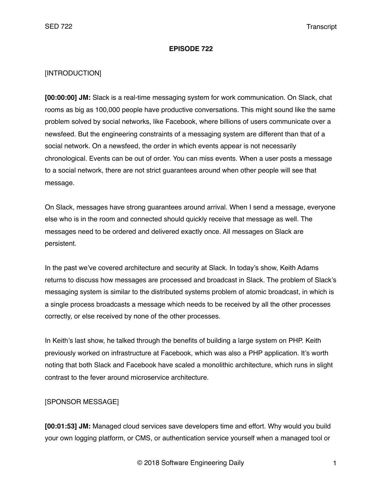#### **EPISODE 722**

#### [INTRODUCTION]

**[00:00:00] JM:** Slack is a real-time messaging system for work communication. On Slack, chat rooms as big as 100,000 people have productive conversations. This might sound like the same problem solved by social networks, like Facebook, where billions of users communicate over a newsfeed. But the engineering constraints of a messaging system are different than that of a social network. On a newsfeed, the order in which events appear is not necessarily chronological. Events can be out of order. You can miss events. When a user posts a message to a social network, there are not strict guarantees around when other people will see that message.

On Slack, messages have strong guarantees around arrival. When I send a message, everyone else who is in the room and connected should quickly receive that message as well. The messages need to be ordered and delivered exactly once. All messages on Slack are persistent.

In the past we've covered architecture and security at Slack. In today's show, Keith Adams returns to discuss how messages are processed and broadcast in Slack. The problem of Slack's messaging system is similar to the distributed systems problem of atomic broadcast, in which is a single process broadcasts a message which needs to be received by all the other processes correctly, or else received by none of the other processes.

In Keith's last show, he talked through the benefits of building a large system on PHP. Keith previously worked on infrastructure at Facebook, which was also a PHP application. It's worth noting that both Slack and Facebook have scaled a monolithic architecture, which runs in slight contrast to the fever around microservice architecture.

#### [SPONSOR MESSAGE]

**[00:01:53] JM:** Managed cloud services save developers time and effort. Why would you build your own logging platform, or CMS, or authentication service yourself when a managed tool or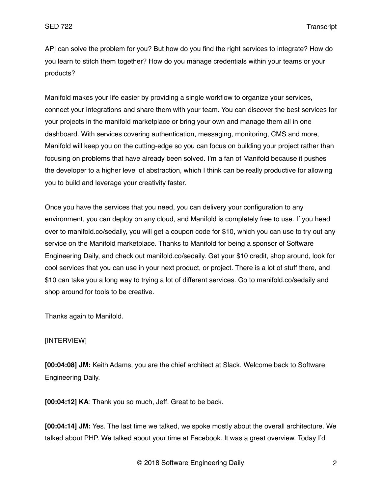API can solve the problem for you? But how do you find the right services to integrate? How do you learn to stitch them together? How do you manage credentials within your teams or your products?

Manifold makes your life easier by providing a single workflow to organize your services, connect your integrations and share them with your team. You can discover the best services for your projects in the manifold marketplace or bring your own and manage them all in one dashboard. With services covering authentication, messaging, monitoring, CMS and more, Manifold will keep you on the cutting-edge so you can focus on building your project rather than focusing on problems that have already been solved. I'm a fan of Manifold because it pushes the developer to a higher level of abstraction, which I think can be really productive for allowing you to build and leverage your creativity faster.

Once you have the services that you need, you can delivery your configuration to any environment, you can deploy on any cloud, and Manifold is completely free to use. If you head over to manifold.co/sedaily, you will get a coupon code for \$10, which you can use to try out any service on the Manifold marketplace. Thanks to Manifold for being a sponsor of Software Engineering Daily, and check out manifold.co/sedaily. Get your \$10 credit, shop around, look for cool services that you can use in your next product, or project. There is a lot of stuff there, and \$10 can take you a long way to trying a lot of different services. Go to manifold.co/sedaily and shop around for tools to be creative.

Thanks again to Manifold.

# [INTERVIEW]

**[00:04:08] JM:** Keith Adams, you are the chief architect at Slack. Welcome back to Software Engineering Daily.

**[00:04:12] KA**: Thank you so much, Jeff. Great to be back.

**[00:04:14] JM:** Yes. The last time we talked, we spoke mostly about the overall architecture. We talked about PHP. We talked about your time at Facebook. It was a great overview. Today I'd

© 2018 Software Engineering Daily 2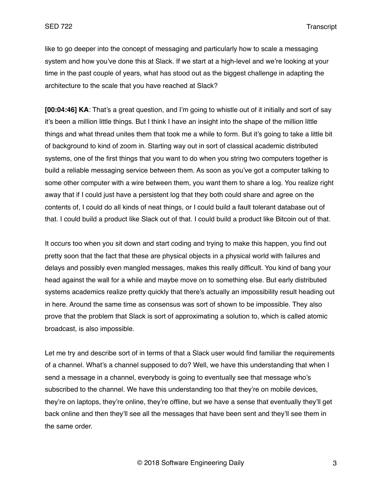like to go deeper into the concept of messaging and particularly how to scale a messaging system and how you've done this at Slack. If we start at a high-level and we're looking at your time in the past couple of years, what has stood out as the biggest challenge in adapting the architecture to the scale that you have reached at Slack?

**[00:04:46] KA**: That's a great question, and I'm going to whistle out of it initially and sort of say it's been a million little things. But I think I have an insight into the shape of the million little things and what thread unites them that took me a while to form. But it's going to take a little bit of background to kind of zoom in. Starting way out in sort of classical academic distributed systems, one of the first things that you want to do when you string two computers together is build a reliable messaging service between them. As soon as you've got a computer talking to some other computer with a wire between them, you want them to share a log. You realize right away that if I could just have a persistent log that they both could share and agree on the contents of, I could do all kinds of neat things, or I could build a fault tolerant database out of that. I could build a product like Slack out of that. I could build a product like Bitcoin out of that.

It occurs too when you sit down and start coding and trying to make this happen, you find out pretty soon that the fact that these are physical objects in a physical world with failures and delays and possibly even mangled messages, makes this really difficult. You kind of bang your head against the wall for a while and maybe move on to something else. But early distributed systems academics realize pretty quickly that there's actually an impossibility result heading out in here. Around the same time as consensus was sort of shown to be impossible. They also prove that the problem that Slack is sort of approximating a solution to, which is called atomic broadcast, is also impossible.

Let me try and describe sort of in terms of that a Slack user would find familiar the requirements of a channel. What's a channel supposed to do? Well, we have this understanding that when I send a message in a channel, everybody is going to eventually see that message who's subscribed to the channel. We have this understanding too that they're on mobile devices, they're on laptops, they're online, they're offline, but we have a sense that eventually they'll get back online and then they'll see all the messages that have been sent and they'll see them in the same order.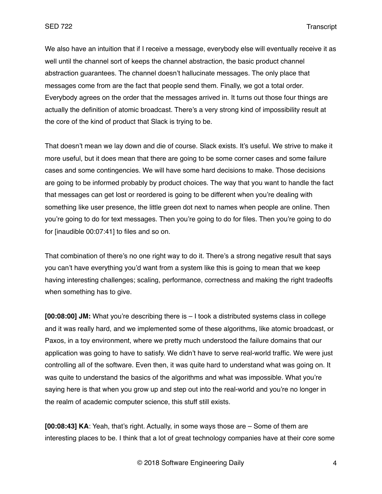We also have an intuition that if I receive a message, everybody else will eventually receive it as well until the channel sort of keeps the channel abstraction, the basic product channel abstraction guarantees. The channel doesn't hallucinate messages. The only place that messages come from are the fact that people send them. Finally, we got a total order. Everybody agrees on the order that the messages arrived in. It turns out those four things are actually the definition of atomic broadcast. There's a very strong kind of impossibility result at the core of the kind of product that Slack is trying to be.

That doesn't mean we lay down and die of course. Slack exists. It's useful. We strive to make it more useful, but it does mean that there are going to be some corner cases and some failure cases and some contingencies. We will have some hard decisions to make. Those decisions are going to be informed probably by product choices. The way that you want to handle the fact that messages can get lost or reordered is going to be different when you're dealing with something like user presence, the little green dot next to names when people are online. Then you're going to do for text messages. Then you're going to do for files. Then you're going to do for [inaudible 00:07:41] to files and so on.

That combination of there's no one right way to do it. There's a strong negative result that says you can't have everything you'd want from a system like this is going to mean that we keep having interesting challenges; scaling, performance, correctness and making the right tradeoffs when something has to give.

**[00:08:00] JM:** What you're describing there is – I took a distributed systems class in college and it was really hard, and we implemented some of these algorithms, like atomic broadcast, or Paxos, in a toy environment, where we pretty much understood the failure domains that our application was going to have to satisfy. We didn't have to serve real-world traffic. We were just controlling all of the software. Even then, it was quite hard to understand what was going on. It was quite to understand the basics of the algorithms and what was impossible. What you're saying here is that when you grow up and step out into the real-world and you're no longer in the realm of academic computer science, this stuff still exists.

**[00:08:43] KA**: Yeah, that's right. Actually, in some ways those are – Some of them are interesting places to be. I think that a lot of great technology companies have at their core some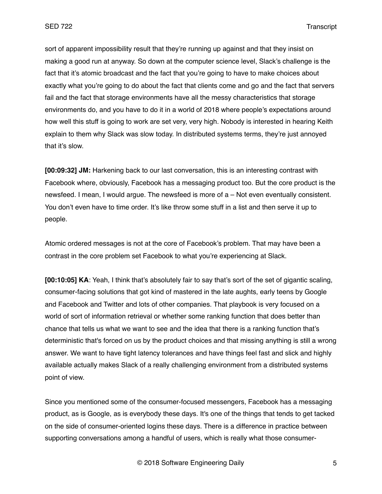sort of apparent impossibility result that they're running up against and that they insist on making a good run at anyway. So down at the computer science level, Slack's challenge is the fact that it's atomic broadcast and the fact that you're going to have to make choices about exactly what you're going to do about the fact that clients come and go and the fact that servers fail and the fact that storage environments have all the messy characteristics that storage environments do, and you have to do it in a world of 2018 where people's expectations around how well this stuff is going to work are set very, very high. Nobody is interested in hearing Keith explain to them why Slack was slow today. In distributed systems terms, they're just annoyed that it's slow.

**[00:09:32] JM:** Harkening back to our last conversation, this is an interesting contrast with Facebook where, obviously, Facebook has a messaging product too. But the core product is the newsfeed. I mean, I would argue. The newsfeed is more of a – Not even eventually consistent. You don't even have to time order. It's like throw some stuff in a list and then serve it up to people.

Atomic ordered messages is not at the core of Facebook's problem. That may have been a contrast in the core problem set Facebook to what you're experiencing at Slack.

**[00:10:05] KA**: Yeah, I think that's absolutely fair to say that's sort of the set of gigantic scaling, consumer-facing solutions that got kind of mastered in the late aughts, early teens by Google and Facebook and Twitter and lots of other companies. That playbook is very focused on a world of sort of information retrieval or whether some ranking function that does better than chance that tells us what we want to see and the idea that there is a ranking function that's deterministic that's forced on us by the product choices and that missing anything is still a wrong answer. We want to have tight latency tolerances and have things feel fast and slick and highly available actually makes Slack of a really challenging environment from a distributed systems point of view.

Since you mentioned some of the consumer-focused messengers, Facebook has a messaging product, as is Google, as is everybody these days. It's one of the things that tends to get tacked on the side of consumer-oriented logins these days. There is a difference in practice between supporting conversations among a handful of users, which is really what those consumer-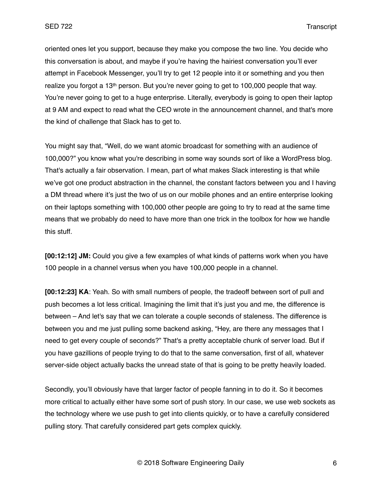oriented ones let you support, because they make you compose the two line. You decide who this conversation is about, and maybe if you're having the hairiest conversation you'll ever attempt in Facebook Messenger, you'll try to get 12 people into it or something and you then realize you forgot a 13th person. But you're never going to get to 100,000 people that way. You're never going to get to a huge enterprise. Literally, everybody is going to open their laptop at 9 AM and expect to read what the CEO wrote in the announcement channel, and that's more the kind of challenge that Slack has to get to.

You might say that, "Well, do we want atomic broadcast for something with an audience of 100,000?" you know what you're describing in some way sounds sort of like a WordPress blog. That's actually a fair observation. I mean, part of what makes Slack interesting is that while we've got one product abstraction in the channel, the constant factors between you and I having a DM thread where it's just the two of us on our mobile phones and an entire enterprise looking on their laptops something with 100,000 other people are going to try to read at the same time means that we probably do need to have more than one trick in the toolbox for how we handle this stuff.

**[00:12:12] JM:** Could you give a few examples of what kinds of patterns work when you have 100 people in a channel versus when you have 100,000 people in a channel.

**[00:12:23] KA**: Yeah. So with small numbers of people, the tradeoff between sort of pull and push becomes a lot less critical. Imagining the limit that it's just you and me, the difference is between – And let's say that we can tolerate a couple seconds of staleness. The difference is between you and me just pulling some backend asking, "Hey, are there any messages that I need to get every couple of seconds?" That's a pretty acceptable chunk of server load. But if you have gazillions of people trying to do that to the same conversation, first of all, whatever server-side object actually backs the unread state of that is going to be pretty heavily loaded.

Secondly, you'll obviously have that larger factor of people fanning in to do it. So it becomes more critical to actually either have some sort of push story. In our case, we use web sockets as the technology where we use push to get into clients quickly, or to have a carefully considered pulling story. That carefully considered part gets complex quickly.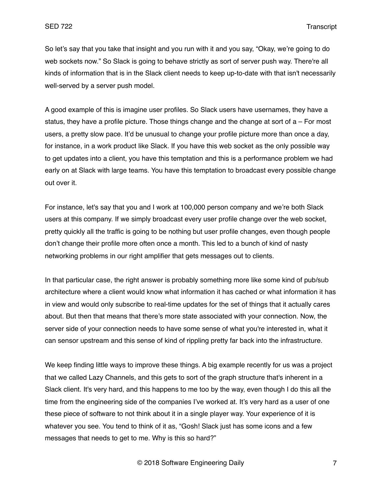So let's say that you take that insight and you run with it and you say, "Okay, we're going to do web sockets now." So Slack is going to behave strictly as sort of server push way. There're all kinds of information that is in the Slack client needs to keep up-to-date with that isn't necessarily well-served by a server push model.

A good example of this is imagine user profiles. So Slack users have usernames, they have a status, they have a profile picture. Those things change and the change at sort of  $a - For$  most users, a pretty slow pace. It'd be unusual to change your profile picture more than once a day, for instance, in a work product like Slack. If you have this web socket as the only possible way to get updates into a client, you have this temptation and this is a performance problem we had early on at Slack with large teams. You have this temptation to broadcast every possible change out over it.

For instance, let's say that you and I work at 100,000 person company and we're both Slack users at this company. If we simply broadcast every user profile change over the web socket, pretty quickly all the traffic is going to be nothing but user profile changes, even though people don't change their profile more often once a month. This led to a bunch of kind of nasty networking problems in our right amplifier that gets messages out to clients.

In that particular case, the right answer is probably something more like some kind of pub/sub architecture where a client would know what information it has cached or what information it has in view and would only subscribe to real-time updates for the set of things that it actually cares about. But then that means that there's more state associated with your connection. Now, the server side of your connection needs to have some sense of what you're interested in, what it can sensor upstream and this sense of kind of rippling pretty far back into the infrastructure.

We keep finding little ways to improve these things. A big example recently for us was a project that we called Lazy Channels, and this gets to sort of the graph structure that's inherent in a Slack client. It's very hard, and this happens to me too by the way, even though I do this all the time from the engineering side of the companies I've worked at. It's very hard as a user of one these piece of software to not think about it in a single player way. Your experience of it is whatever you see. You tend to think of it as, "Gosh! Slack just has some icons and a few messages that needs to get to me. Why is this so hard?"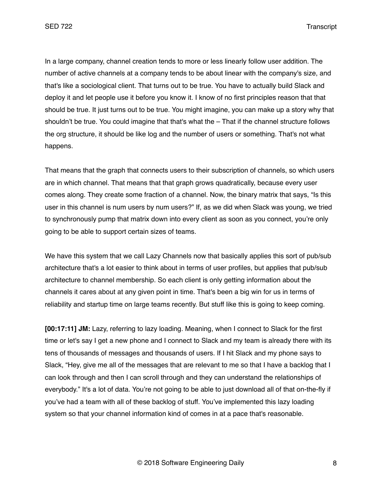In a large company, channel creation tends to more or less linearly follow user addition. The number of active channels at a company tends to be about linear with the company's size, and that's like a sociological client. That turns out to be true. You have to actually build Slack and deploy it and let people use it before you know it. I know of no first principles reason that that should be true. It just turns out to be true. You might imagine, you can make up a story why that shouldn't be true. You could imagine that that's what the – That if the channel structure follows the org structure, it should be like log and the number of users or something. That's not what happens.

That means that the graph that connects users to their subscription of channels, so which users are in which channel. That means that that graph grows quadratically, because every user comes along. They create some fraction of a channel. Now, the binary matrix that says, "Is this user in this channel is num users by num users?" If, as we did when Slack was young, we tried to synchronously pump that matrix down into every client as soon as you connect, you're only going to be able to support certain sizes of teams.

We have this system that we call Lazy Channels now that basically applies this sort of pub/sub architecture that's a lot easier to think about in terms of user profiles, but applies that pub/sub architecture to channel membership. So each client is only getting information about the channels it cares about at any given point in time. That's been a big win for us in terms of reliability and startup time on large teams recently. But stuff like this is going to keep coming.

**[00:17:11] JM:** Lazy, referring to lazy loading. Meaning, when I connect to Slack for the first time or let's say I get a new phone and I connect to Slack and my team is already there with its tens of thousands of messages and thousands of users. If I hit Slack and my phone says to Slack, "Hey, give me all of the messages that are relevant to me so that I have a backlog that I can look through and then I can scroll through and they can understand the relationships of everybody." It's a lot of data. You're not going to be able to just download all of that on-the-fly if you've had a team with all of these backlog of stuff. You've implemented this lazy loading system so that your channel information kind of comes in at a pace that's reasonable.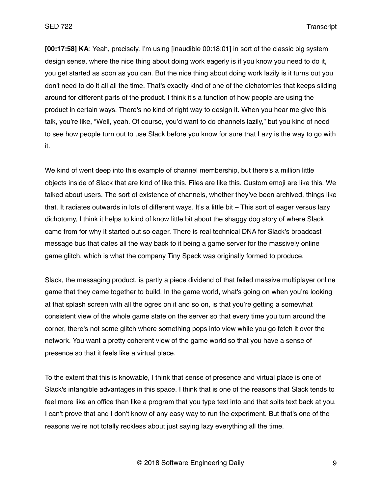**[00:17:58] KA**: Yeah, precisely. I'm using [inaudible 00:18:01] in sort of the classic big system design sense, where the nice thing about doing work eagerly is if you know you need to do it, you get started as soon as you can. But the nice thing about doing work lazily is it turns out you don't need to do it all all the time. That's exactly kind of one of the dichotomies that keeps sliding around for different parts of the product. I think it's a function of how people are using the product in certain ways. There's no kind of right way to design it. When you hear me give this talk, you're like, "Well, yeah. Of course, you'd want to do channels lazily," but you kind of need to see how people turn out to use Slack before you know for sure that Lazy is the way to go with it.

We kind of went deep into this example of channel membership, but there's a million little objects inside of Slack that are kind of like this. Files are like this. Custom emoji are like this. We talked about users. The sort of existence of channels, whether they've been archived, things like that. It radiates outwards in lots of different ways. It's a little bit – This sort of eager versus lazy dichotomy, I think it helps to kind of know little bit about the shaggy dog story of where Slack came from for why it started out so eager. There is real technical DNA for Slack's broadcast message bus that dates all the way back to it being a game server for the massively online game glitch, which is what the company Tiny Speck was originally formed to produce.

Slack, the messaging product, is partly a piece dividend of that failed massive multiplayer online game that they came together to build. In the game world, what's going on when you're looking at that splash screen with all the ogres on it and so on, is that you're getting a somewhat consistent view of the whole game state on the server so that every time you turn around the corner, there's not some glitch where something pops into view while you go fetch it over the network. You want a pretty coherent view of the game world so that you have a sense of presence so that it feels like a virtual place.

To the extent that this is knowable, I think that sense of presence and virtual place is one of Slack's intangible advantages in this space. I think that is one of the reasons that Slack tends to feel more like an office than like a program that you type text into and that spits text back at you. I can't prove that and I don't know of any easy way to run the experiment. But that's one of the reasons we're not totally reckless about just saying lazy everything all the time.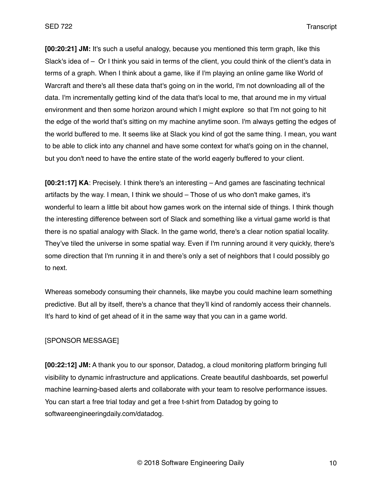**[00:20:21] JM:** It's such a useful analogy, because you mentioned this term graph, like this Slack's idea of – Or I think you said in terms of the client, you could think of the client's data in terms of a graph. When I think about a game, like if I'm playing an online game like World of Warcraft and there's all these data that's going on in the world, I'm not downloading all of the data. I'm incrementally getting kind of the data that's local to me, that around me in my virtual environment and then some horizon around which I might explore so that I'm not going to hit the edge of the world that's sitting on my machine anytime soon. I'm always getting the edges of the world buffered to me. It seems like at Slack you kind of got the same thing. I mean, you want to be able to click into any channel and have some context for what's going on in the channel, but you don't need to have the entire state of the world eagerly buffered to your client.

**[00:21:17] KA**: Precisely. I think there's an interesting – And games are fascinating technical artifacts by the way. I mean, I think we should – Those of us who don't make games, it's wonderful to learn a little bit about how games work on the internal side of things. I think though the interesting difference between sort of Slack and something like a virtual game world is that there is no spatial analogy with Slack. In the game world, there's a clear notion spatial locality. They've tiled the universe in some spatial way. Even if I'm running around it very quickly, there's some direction that I'm running it in and there's only a set of neighbors that I could possibly go to next.

Whereas somebody consuming their channels, like maybe you could machine learn something predictive. But all by itself, there's a chance that they'll kind of randomly access their channels. It's hard to kind of get ahead of it in the same way that you can in a game world.

## [SPONSOR MESSAGE]

**[00:22:12] JM:** A thank you to our sponsor, Datadog, a cloud monitoring platform bringing full visibility to dynamic infrastructure and applications. Create beautiful dashboards, set powerful machine learning-based alerts and collaborate with your team to resolve performance issues. You can start a free trial today and get a free t-shirt from Datadog by going to softwareengineeringdaily.com/datadog.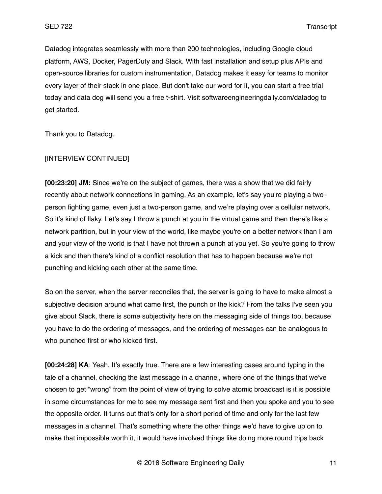Datadog integrates seamlessly with more than 200 technologies, including Google cloud platform, AWS, Docker, PagerDuty and Slack. With fast installation and setup plus APIs and open-source libraries for custom instrumentation, Datadog makes it easy for teams to monitor every layer of their stack in one place. But don't take our word for it, you can start a free trial today and data dog will send you a free t-shirt. Visit softwareengineeringdaily.com/datadog to get started.

Thank you to Datadog.

#### [INTERVIEW CONTINUED]

**[00:23:20] JM:** Since we're on the subject of games, there was a show that we did fairly recently about network connections in gaming. As an example, let's say you're playing a twoperson fighting game, even just a two-person game, and we're playing over a cellular network. So it's kind of flaky. Let's say I throw a punch at you in the virtual game and then there's like a network partition, but in your view of the world, like maybe you're on a better network than I am and your view of the world is that I have not thrown a punch at you yet. So you're going to throw a kick and then there's kind of a conflict resolution that has to happen because we're not punching and kicking each other at the same time.

So on the server, when the server reconciles that, the server is going to have to make almost a subjective decision around what came first, the punch or the kick? From the talks I've seen you give about Slack, there is some subjectivity here on the messaging side of things too, because you have to do the ordering of messages, and the ordering of messages can be analogous to who punched first or who kicked first.

**[00:24:28] KA**: Yeah. It's exactly true. There are a few interesting cases around typing in the tale of a channel, checking the last message in a channel, where one of the things that we've chosen to get "wrong" from the point of view of trying to solve atomic broadcast is it is possible in some circumstances for me to see my message sent first and then you spoke and you to see the opposite order. It turns out that's only for a short period of time and only for the last few messages in a channel. That's something where the other things we'd have to give up on to make that impossible worth it, it would have involved things like doing more round trips back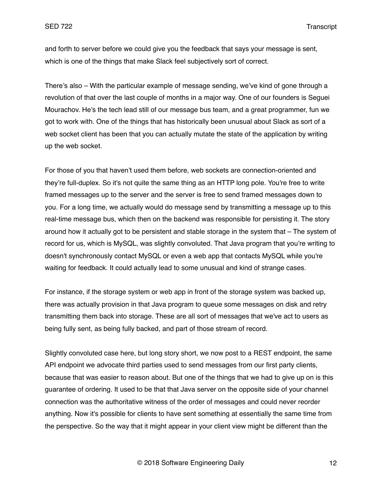and forth to server before we could give you the feedback that says your message is sent, which is one of the things that make Slack feel subjectively sort of correct.

There's also – With the particular example of message sending, we've kind of gone through a revolution of that over the last couple of months in a major way. One of our founders is Seguei Mourachov. He's the tech lead still of our message bus team, and a great programmer, fun we got to work with. One of the things that has historically been unusual about Slack as sort of a web socket client has been that you can actually mutate the state of the application by writing up the web socket.

For those of you that haven't used them before, web sockets are connection-oriented and they're full-duplex. So it's not quite the same thing as an HTTP long pole. You're free to write framed messages up to the server and the server is free to send framed messages down to you. For a long time, we actually would do message send by transmitting a message up to this real-time message bus, which then on the backend was responsible for persisting it. The story around how it actually got to be persistent and stable storage in the system that – The system of record for us, which is MySQL, was slightly convoluted. That Java program that you're writing to doesn't synchronously contact MySQL or even a web app that contacts MySQL while you're waiting for feedback. It could actually lead to some unusual and kind of strange cases.

For instance, if the storage system or web app in front of the storage system was backed up, there was actually provision in that Java program to queue some messages on disk and retry transmitting them back into storage. These are all sort of messages that we've act to users as being fully sent, as being fully backed, and part of those stream of record.

Slightly convoluted case here, but long story short, we now post to a REST endpoint, the same API endpoint we advocate third parties used to send messages from our first party clients, because that was easier to reason about. But one of the things that we had to give up on is this guarantee of ordering. It used to be that that Java server on the opposite side of your channel connection was the authoritative witness of the order of messages and could never reorder anything. Now it's possible for clients to have sent something at essentially the same time from the perspective. So the way that it might appear in your client view might be different than the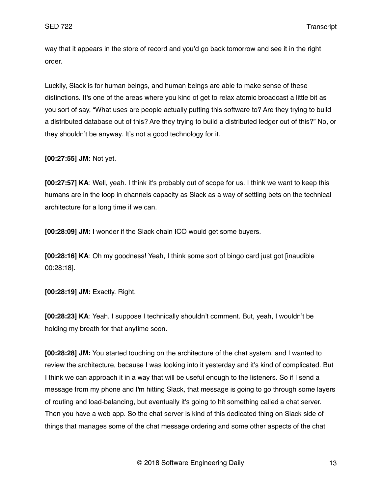way that it appears in the store of record and you'd go back tomorrow and see it in the right order.

Luckily, Slack is for human beings, and human beings are able to make sense of these distinctions. It's one of the areas where you kind of get to relax atomic broadcast a little bit as you sort of say, "What uses are people actually putting this software to? Are they trying to build a distributed database out of this? Are they trying to build a distributed ledger out of this?" No, or they shouldn't be anyway. It's not a good technology for it.

**[00:27:55] JM:** Not yet.

**[00:27:57] KA**: Well, yeah. I think it's probably out of scope for us. I think we want to keep this humans are in the loop in channels capacity as Slack as a way of settling bets on the technical architecture for a long time if we can.

**[00:28:09] JM:** I wonder if the Slack chain ICO would get some buyers.

**[00:28:16] KA**: Oh my goodness! Yeah, I think some sort of bingo card just got [inaudible 00:28:18].

**[00:28:19] JM:** Exactly. Right.

**[00:28:23] KA**: Yeah. I suppose I technically shouldn't comment. But, yeah, I wouldn't be holding my breath for that anytime soon.

**[00:28:28] JM:** You started touching on the architecture of the chat system, and I wanted to review the architecture, because I was looking into it yesterday and it's kind of complicated. But I think we can approach it in a way that will be useful enough to the listeners. So if I send a message from my phone and I'm hitting Slack, that message is going to go through some layers of routing and load-balancing, but eventually it's going to hit something called a chat server. Then you have a web app. So the chat server is kind of this dedicated thing on Slack side of things that manages some of the chat message ordering and some other aspects of the chat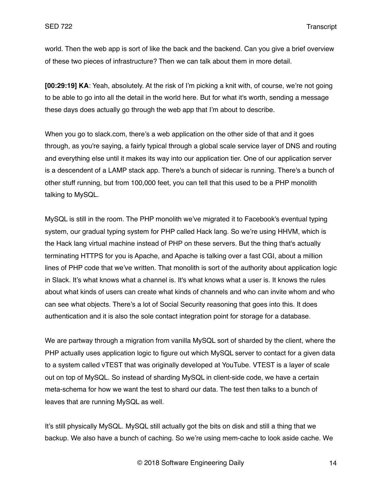world. Then the web app is sort of like the back and the backend. Can you give a brief overview of these two pieces of infrastructure? Then we can talk about them in more detail.

**[00:29:19] KA**: Yeah, absolutely. At the risk of I'm picking a knit with, of course, we're not going to be able to go into all the detail in the world here. But for what it's worth, sending a message these days does actually go through the web app that I'm about to describe.

When you go to slack.com, there's a web application on the other side of that and it goes through, as you're saying, a fairly typical through a global scale service layer of DNS and routing and everything else until it makes its way into our application tier. One of our application server is a descendent of a LAMP stack app. There's a bunch of sidecar is running. There's a bunch of other stuff running, but from 100,000 feet, you can tell that this used to be a PHP monolith talking to MySQL.

MySQL is still in the room. The PHP monolith we've migrated it to Facebook's eventual typing system, our gradual typing system for PHP called Hack lang. So we're using HHVM, which is the Hack lang virtual machine instead of PHP on these servers. But the thing that's actually terminating HTTPS for you is Apache, and Apache is talking over a fast CGI, about a million lines of PHP code that we've written. That monolith is sort of the authority about application logic in Slack. It's what knows what a channel is. It's what knows what a user is. It knows the rules about what kinds of users can create what kinds of channels and who can invite whom and who can see what objects. There's a lot of Social Security reasoning that goes into this. It does authentication and it is also the sole contact integration point for storage for a database.

We are partway through a migration from vanilla MySQL sort of sharded by the client, where the PHP actually uses application logic to figure out which MySQL server to contact for a given data to a system called vTEST that was originally developed at YouTube. VTEST is a layer of scale out on top of MySQL. So instead of sharding MySQL in client-side code, we have a certain meta-schema for how we want the test to shard our data. The test then talks to a bunch of leaves that are running MySQL as well.

It's still physically MySQL. MySQL still actually got the bits on disk and still a thing that we backup. We also have a bunch of caching. So we're using mem-cache to look aside cache. We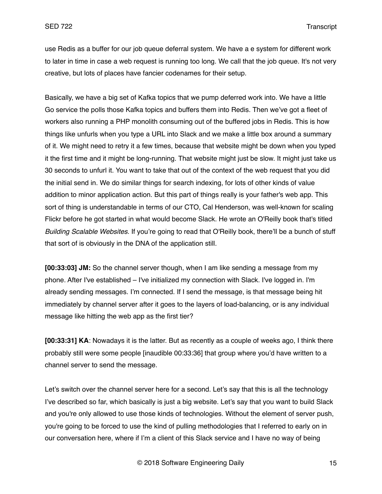use Redis as a buffer for our job queue deferral system. We have a e system for different work to later in time in case a web request is running too long. We call that the job queue. It's not very creative, but lots of places have fancier codenames for their setup.

Basically, we have a big set of Kafka topics that we pump deferred work into. We have a little Go service the polls those Kafka topics and buffers them into Redis. Then we've got a fleet of workers also running a PHP monolith consuming out of the buffered jobs in Redis. This is how things like unfurls when you type a URL into Slack and we make a little box around a summary of it. We might need to retry it a few times, because that website might be down when you typed it the first time and it might be long-running. That website might just be slow. It might just take us 30 seconds to unfurl it. You want to take that out of the context of the web request that you did the initial send in. We do similar things for search indexing, for lots of other kinds of value addition to minor application action. But this part of things really is your father's web app. This sort of thing is understandable in terms of our CTO, Cal Henderson, was well-known for scaling Flickr before he got started in what would become Slack. He wrote an O'Reilly book that's titled *Building Scalable Websites*. If you're going to read that O'Reilly book, there'll be a bunch of stuff that sort of is obviously in the DNA of the application still.

**[00:33:03] JM:** So the channel server though, when I am like sending a message from my phone. After I've established – I've initialized my connection with Slack. I've logged in. I'm already sending messages. I'm connected. If I send the message, is that message being hit immediately by channel server after it goes to the layers of load-balancing, or is any individual message like hitting the web app as the first tier?

**[00:33:31] KA**: Nowadays it is the latter. But as recently as a couple of weeks ago, I think there probably still were some people [inaudible 00:33:36] that group where you'd have written to a channel server to send the message.

Let's switch over the channel server here for a second. Let's say that this is all the technology I've described so far, which basically is just a big website. Let's say that you want to build Slack and you're only allowed to use those kinds of technologies. Without the element of server push, you're going to be forced to use the kind of pulling methodologies that I referred to early on in our conversation here, where if I'm a client of this Slack service and I have no way of being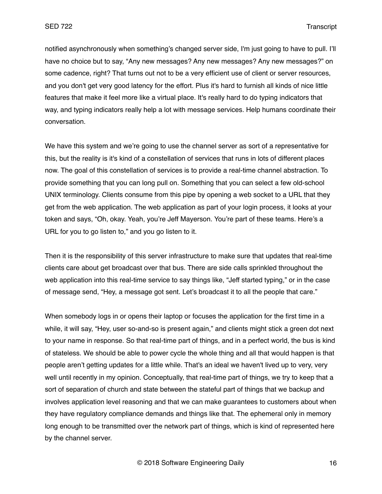notified asynchronously when something's changed server side, I'm just going to have to pull. I'll have no choice but to say, "Any new messages? Any new messages? Any new messages?" on some cadence, right? That turns out not to be a very efficient use of client or server resources, and you don't get very good latency for the effort. Plus it's hard to furnish all kinds of nice little features that make it feel more like a virtual place. It's really hard to do typing indicators that way, and typing indicators really help a lot with message services. Help humans coordinate their conversation.

We have this system and we're going to use the channel server as sort of a representative for this, but the reality is it's kind of a constellation of services that runs in lots of different places now. The goal of this constellation of services is to provide a real-time channel abstraction. To provide something that you can long pull on. Something that you can select a few old-school UNIX terminology. Clients consume from this pipe by opening a web socket to a URL that they get from the web application. The web application as part of your login process, it looks at your token and says, "Oh, okay. Yeah, you're Jeff Mayerson. You're part of these teams. Here's a URL for you to go listen to," and you go listen to it.

Then it is the responsibility of this server infrastructure to make sure that updates that real-time clients care about get broadcast over that bus. There are side calls sprinkled throughout the web application into this real-time service to say things like, "Jeff started typing," or in the case of message send, "Hey, a message got sent. Let's broadcast it to all the people that care."

When somebody logs in or opens their laptop or focuses the application for the first time in a while, it will say, "Hey, user so-and-so is present again," and clients might stick a green dot next to your name in response. So that real-time part of things, and in a perfect world, the bus is kind of stateless. We should be able to power cycle the whole thing and all that would happen is that people aren't getting updates for a little while. That's an ideal we haven't lived up to very, very well until recently in my opinion. Conceptually, that real-time part of things, we try to keep that a sort of separation of church and state between the stateful part of things that we backup and involves application level reasoning and that we can make guarantees to customers about when they have regulatory compliance demands and things like that. The ephemeral only in memory long enough to be transmitted over the network part of things, which is kind of represented here by the channel server.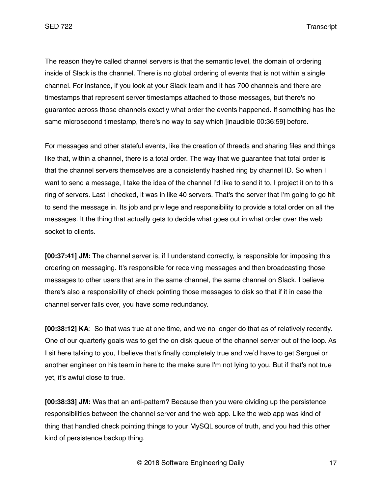The reason they're called channel servers is that the semantic level, the domain of ordering inside of Slack is the channel. There is no global ordering of events that is not within a single channel. For instance, if you look at your Slack team and it has 700 channels and there are timestamps that represent server timestamps attached to those messages, but there's no guarantee across those channels exactly what order the events happened. If something has the same microsecond timestamp, there's no way to say which [inaudible 00:36:59] before.

For messages and other stateful events, like the creation of threads and sharing files and things like that, within a channel, there is a total order. The way that we guarantee that total order is that the channel servers themselves are a consistently hashed ring by channel ID. So when I want to send a message, I take the idea of the channel I'd like to send it to, I project it on to this ring of servers. Last I checked, it was in like 40 servers. That's the server that I'm going to go hit to send the message in. Its job and privilege and responsibility to provide a total order on all the messages. It the thing that actually gets to decide what goes out in what order over the web socket to clients.

**[00:37:41] JM:** The channel server is, if I understand correctly, is responsible for imposing this ordering on messaging. It's responsible for receiving messages and then broadcasting those messages to other users that are in the same channel, the same channel on Slack. I believe there's also a responsibility of check pointing those messages to disk so that if it in case the channel server falls over, you have some redundancy.

**[00:38:12] KA**: So that was true at one time, and we no longer do that as of relatively recently. One of our quarterly goals was to get the on disk queue of the channel server out of the loop. As I sit here talking to you, I believe that's finally completely true and we'd have to get Serguei or another engineer on his team in here to the make sure I'm not lying to you. But if that's not true yet, it's awful close to true.

**[00:38:33] JM:** Was that an anti-pattern? Because then you were dividing up the persistence responsibilities between the channel server and the web app. Like the web app was kind of thing that handled check pointing things to your MySQL source of truth, and you had this other kind of persistence backup thing.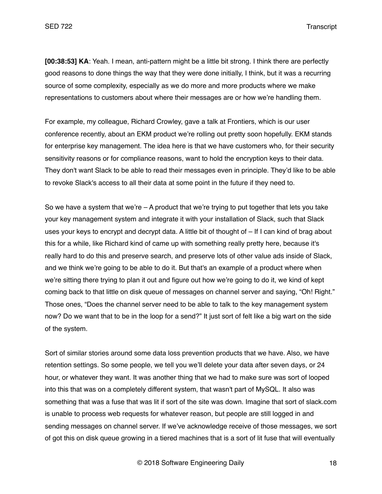**[00:38:53] KA**: Yeah. I mean, anti-pattern might be a little bit strong. I think there are perfectly good reasons to done things the way that they were done initially, I think, but it was a recurring source of some complexity, especially as we do more and more products where we make representations to customers about where their messages are or how we're handling them.

For example, my colleague, Richard Crowley, gave a talk at Frontiers, which is our user conference recently, about an EKM product we're rolling out pretty soon hopefully. EKM stands for enterprise key management. The idea here is that we have customers who, for their security sensitivity reasons or for compliance reasons, want to hold the encryption keys to their data. They don't want Slack to be able to read their messages even in principle. They'd like to be able to revoke Slack's access to all their data at some point in the future if they need to.

So we have a system that we're  $-$  A product that we're trying to put together that lets you take your key management system and integrate it with your installation of Slack, such that Slack uses your keys to encrypt and decrypt data. A little bit of thought of – If I can kind of brag about this for a while, like Richard kind of came up with something really pretty here, because it's really hard to do this and preserve search, and preserve lots of other value ads inside of Slack, and we think we're going to be able to do it. But that's an example of a product where when we're sitting there trying to plan it out and figure out how we're going to do it, we kind of kept coming back to that little on disk queue of messages on channel server and saying, "Oh! Right." Those ones, "Does the channel server need to be able to talk to the key management system now? Do we want that to be in the loop for a send?" It just sort of felt like a big wart on the side of the system.

Sort of similar stories around some data loss prevention products that we have. Also, we have retention settings. So some people, we tell you we'll delete your data after seven days, or 24 hour, or whatever they want. It was another thing that we had to make sure was sort of looped into this that was on a completely different system, that wasn't part of MySQL. It also was something that was a fuse that was lit if sort of the site was down. Imagine that sort of slack.com is unable to process web requests for whatever reason, but people are still logged in and sending messages on channel server. If we've acknowledge receive of those messages, we sort of got this on disk queue growing in a tiered machines that is a sort of lit fuse that will eventually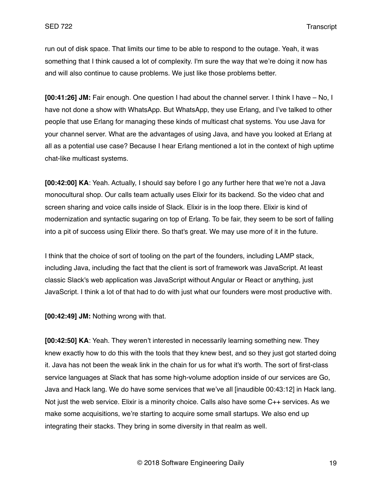run out of disk space. That limits our time to be able to respond to the outage. Yeah, it was something that I think caused a lot of complexity. I'm sure the way that we're doing it now has and will also continue to cause problems. We just like those problems better.

**[00:41:26] JM:** Fair enough. One question I had about the channel server. I think I have – No, I have not done a show with WhatsApp. But WhatsApp, they use Erlang, and I've talked to other people that use Erlang for managing these kinds of multicast chat systems. You use Java for your channel server. What are the advantages of using Java, and have you looked at Erlang at all as a potential use case? Because I hear Erlang mentioned a lot in the context of high uptime chat-like multicast systems.

**[00:42:00] KA**: Yeah. Actually, I should say before I go any further here that we're not a Java monocultural shop. Our calls team actually uses Elixir for its backend. So the video chat and screen sharing and voice calls inside of Slack. Elixir is in the loop there. Elixir is kind of modernization and syntactic sugaring on top of Erlang. To be fair, they seem to be sort of falling into a pit of success using Elixir there. So that's great. We may use more of it in the future.

I think that the choice of sort of tooling on the part of the founders, including LAMP stack, including Java, including the fact that the client is sort of framework was JavaScript. At least classic Slack's web application was JavaScript without Angular or React or anything, just JavaScript. I think a lot of that had to do with just what our founders were most productive with.

**[00:42:49] JM:** Nothing wrong with that.

**[00:42:50] KA**: Yeah. They weren't interested in necessarily learning something new. They knew exactly how to do this with the tools that they knew best, and so they just got started doing it. Java has not been the weak link in the chain for us for what it's worth. The sort of first-class service languages at Slack that has some high-volume adoption inside of our services are Go, Java and Hack lang. We do have some services that we've all [inaudible 00:43:12] in Hack lang. Not just the web service. Elixir is a minority choice. Calls also have some C++ services. As we make some acquisitions, we're starting to acquire some small startups. We also end up integrating their stacks. They bring in some diversity in that realm as well.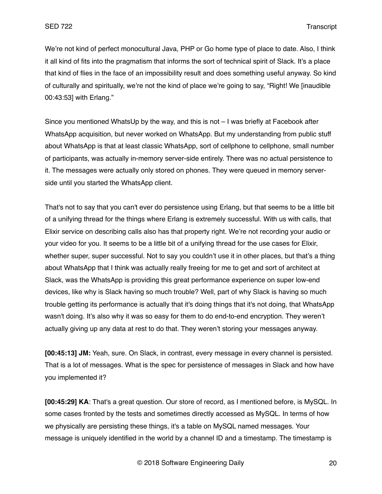We're not kind of perfect monocultural Java, PHP or Go home type of place to date. Also, I think it all kind of fits into the pragmatism that informs the sort of technical spirit of Slack. It's a place that kind of flies in the face of an impossibility result and does something useful anyway. So kind of culturally and spiritually, we're not the kind of place we're going to say, "Right! We [inaudible 00:43:53] with Erlang."

Since you mentioned WhatsUp by the way, and this is not – I was briefly at Facebook after WhatsApp acquisition, but never worked on WhatsApp. But my understanding from public stuff about WhatsApp is that at least classic WhatsApp, sort of cellphone to cellphone, small number of participants, was actually in-memory server-side entirely. There was no actual persistence to it. The messages were actually only stored on phones. They were queued in memory serverside until you started the WhatsApp client.

That's not to say that you can't ever do persistence using Erlang, but that seems to be a little bit of a unifying thread for the things where Erlang is extremely successful. With us with calls, that Elixir service on describing calls also has that property right. We're not recording your audio or your video for you. It seems to be a little bit of a unifying thread for the use cases for Elixir, whether super, super successful. Not to say you couldn't use it in other places, but that's a thing about WhatsApp that I think was actually really freeing for me to get and sort of architect at Slack, was the WhatsApp is providing this great performance experience on super low-end devices, like why is Slack having so much trouble? Well, part of why Slack is having so much trouble getting its performance is actually that it's doing things that it's not doing, that WhatsApp wasn't doing. It's also why it was so easy for them to do end-to-end encryption. They weren't actually giving up any data at rest to do that. They weren't storing your messages anyway.

**[00:45:13] JM:** Yeah, sure. On Slack, in contrast, every message in every channel is persisted. That is a lot of messages. What is the spec for persistence of messages in Slack and how have you implemented it?

**[00:45:29] KA**: That's a great question. Our store of record, as I mentioned before, is MySQL. In some cases fronted by the tests and sometimes directly accessed as MySQL. In terms of how we physically are persisting these things, it's a table on MySQL named messages. Your message is uniquely identified in the world by a channel ID and a timestamp. The timestamp is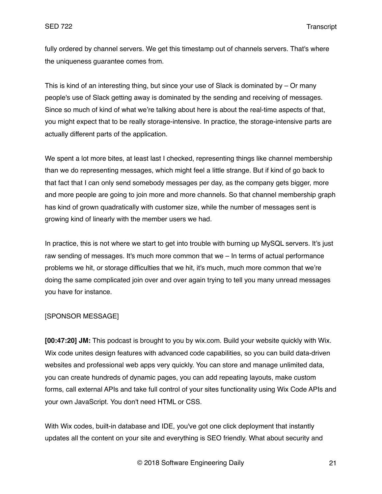fully ordered by channel servers. We get this timestamp out of channels servers. That's where the uniqueness guarantee comes from.

This is kind of an interesting thing, but since your use of Slack is dominated by – Or many people's use of Slack getting away is dominated by the sending and receiving of messages. Since so much of kind of what we're talking about here is about the real-time aspects of that, you might expect that to be really storage-intensive. In practice, the storage-intensive parts are actually different parts of the application.

We spent a lot more bites, at least last I checked, representing things like channel membership than we do representing messages, which might feel a little strange. But if kind of go back to that fact that I can only send somebody messages per day, as the company gets bigger, more and more people are going to join more and more channels. So that channel membership graph has kind of grown quadratically with customer size, while the number of messages sent is growing kind of linearly with the member users we had.

In practice, this is not where we start to get into trouble with burning up MySQL servers. It's just raw sending of messages. It's much more common that we – In terms of actual performance problems we hit, or storage difficulties that we hit, it's much, much more common that we're doing the same complicated join over and over again trying to tell you many unread messages you have for instance.

## [SPONSOR MESSAGE]

**[00:47:20] JM:** This podcast is brought to you by wix.com. Build your website quickly with Wix. Wix code unites design features with advanced code capabilities, so you can build data-driven websites and professional web apps very quickly. You can store and manage unlimited data, you can create hundreds of dynamic pages, you can add repeating layouts, make custom forms, call external APIs and take full control of your sites functionality using Wix Code APIs and your own JavaScript. You don't need HTML or CSS.

With Wix codes, built-in database and IDE, you've got one click deployment that instantly updates all the content on your site and everything is SEO friendly. What about security and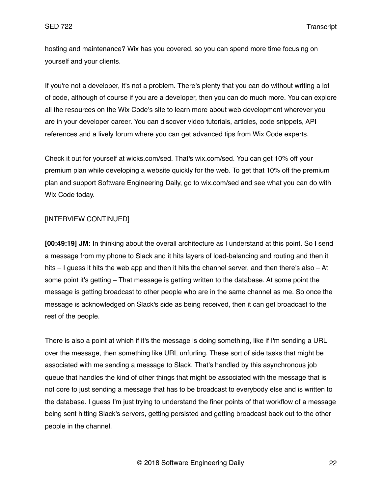hosting and maintenance? Wix has you covered, so you can spend more time focusing on yourself and your clients.

If you're not a developer, it's not a problem. There's plenty that you can do without writing a lot of code, although of course if you are a developer, then you can do much more. You can explore all the resources on the Wix Code's site to learn more about web development wherever you are in your developer career. You can discover video tutorials, articles, code snippets, API references and a lively forum where you can get advanced tips from Wix Code experts.

Check it out for yourself at wicks.com/sed. That's wix.com/sed. You can get 10% off your premium plan while developing a website quickly for the web. To get that 10% off the premium plan and support Software Engineering Daily, go to wix.com/sed and see what you can do with Wix Code today.

## [INTERVIEW CONTINUED]

**[00:49:19] JM:** In thinking about the overall architecture as I understand at this point. So I send a message from my phone to Slack and it hits layers of load-balancing and routing and then it hits – I guess it hits the web app and then it hits the channel server, and then there's also – At some point it's getting – That message is getting written to the database. At some point the message is getting broadcast to other people who are in the same channel as me. So once the message is acknowledged on Slack's side as being received, then it can get broadcast to the rest of the people.

There is also a point at which if it's the message is doing something, like if I'm sending a URL over the message, then something like URL unfurling. These sort of side tasks that might be associated with me sending a message to Slack. That's handled by this asynchronous job queue that handles the kind of other things that might be associated with the message that is not core to just sending a message that has to be broadcast to everybody else and is written to the database. I guess I'm just trying to understand the finer points of that workflow of a message being sent hitting Slack's servers, getting persisted and getting broadcast back out to the other people in the channel.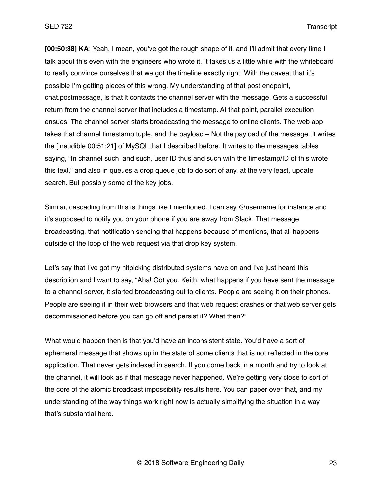**[00:50:38] KA**: Yeah. I mean, you've got the rough shape of it, and I'll admit that every time I talk about this even with the engineers who wrote it. It takes us a little while with the whiteboard to really convince ourselves that we got the timeline exactly right. With the caveat that it's possible I'm getting pieces of this wrong. My understanding of that post endpoint, chat.postmessage, is that it contacts the channel server with the message. Gets a successful return from the channel server that includes a timestamp. At that point, parallel execution ensues. The channel server starts broadcasting the message to online clients. The web app takes that channel timestamp tuple, and the payload – Not the payload of the message. It writes the [inaudible 00:51:21] of MySQL that I described before. It writes to the messages tables saying, "In channel such and such, user ID thus and such with the timestamp/ID of this wrote this text," and also in queues a drop queue job to do sort of any, at the very least, update search. But possibly some of the key jobs.

Similar, cascading from this is things like I mentioned. I can say @username for instance and it's supposed to notify you on your phone if you are away from Slack. That message broadcasting, that notification sending that happens because of mentions, that all happens outside of the loop of the web request via that drop key system.

Let's say that I've got my nitpicking distributed systems have on and I've just heard this description and I want to say, "Aha! Got you. Keith, what happens if you have sent the message to a channel server, it started broadcasting out to clients. People are seeing it on their phones. People are seeing it in their web browsers and that web request crashes or that web server gets decommissioned before you can go off and persist it? What then?"

What would happen then is that you'd have an inconsistent state. You'd have a sort of ephemeral message that shows up in the state of some clients that is not reflected in the core application. That never gets indexed in search. If you come back in a month and try to look at the channel, it will look as if that message never happened. We're getting very close to sort of the core of the atomic broadcast impossibility results here. You can paper over that, and my understanding of the way things work right now is actually simplifying the situation in a way that's substantial here.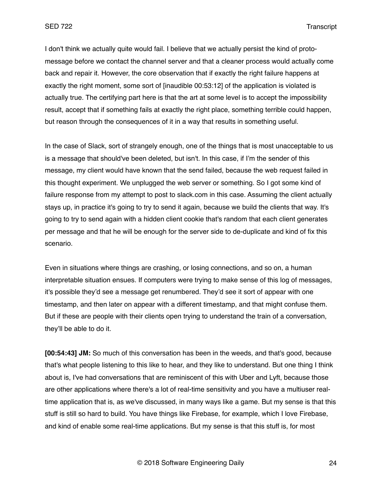I don't think we actually quite would fail. I believe that we actually persist the kind of protomessage before we contact the channel server and that a cleaner process would actually come back and repair it. However, the core observation that if exactly the right failure happens at exactly the right moment, some sort of [inaudible 00:53:12] of the application is violated is actually true. The certifying part here is that the art at some level is to accept the impossibility result, accept that if something fails at exactly the right place, something terrible could happen, but reason through the consequences of it in a way that results in something useful.

In the case of Slack, sort of strangely enough, one of the things that is most unacceptable to us is a message that should've been deleted, but isn't. In this case, if I'm the sender of this message, my client would have known that the send failed, because the web request failed in this thought experiment. We unplugged the web server or something. So I got some kind of failure response from my attempt to post to slack.com in this case. Assuming the client actually stays up, in practice it's going to try to send it again, because we build the clients that way. It's going to try to send again with a hidden client cookie that's random that each client generates per message and that he will be enough for the server side to de-duplicate and kind of fix this scenario.

Even in situations where things are crashing, or losing connections, and so on, a human interpretable situation ensues. If computers were trying to make sense of this log of messages, it's possible they'd see a message get renumbered. They'd see it sort of appear with one timestamp, and then later on appear with a different timestamp, and that might confuse them. But if these are people with their clients open trying to understand the train of a conversation, they'll be able to do it.

**[00:54:43] JM:** So much of this conversation has been in the weeds, and that's good, because that's what people listening to this like to hear, and they like to understand. But one thing I think about is, I've had conversations that are reminiscent of this with Uber and Lyft, because those are other applications where there's a lot of real-time sensitivity and you have a multiuser realtime application that is, as we've discussed, in many ways like a game. But my sense is that this stuff is still so hard to build. You have things like Firebase, for example, which I love Firebase, and kind of enable some real-time applications. But my sense is that this stuff is, for most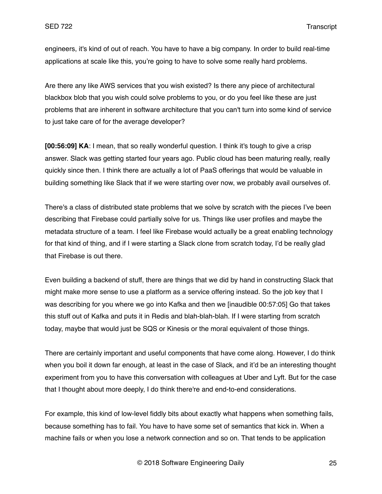engineers, it's kind of out of reach. You have to have a big company. In order to build real-time applications at scale like this, you're going to have to solve some really hard problems.

Are there any like AWS services that you wish existed? Is there any piece of architectural blackbox blob that you wish could solve problems to you, or do you feel like these are just problems that are inherent in software architecture that you can't turn into some kind of service to just take care of for the average developer?

**[00:56:09] KA**: I mean, that so really wonderful question. I think it's tough to give a crisp answer. Slack was getting started four years ago. Public cloud has been maturing really, really quickly since then. I think there are actually a lot of PaaS offerings that would be valuable in building something like Slack that if we were starting over now, we probably avail ourselves of.

There's a class of distributed state problems that we solve by scratch with the pieces I've been describing that Firebase could partially solve for us. Things like user profiles and maybe the metadata structure of a team. I feel like Firebase would actually be a great enabling technology for that kind of thing, and if I were starting a Slack clone from scratch today, I'd be really glad that Firebase is out there.

Even building a backend of stuff, there are things that we did by hand in constructing Slack that might make more sense to use a platform as a service offering instead. So the job key that I was describing for you where we go into Kafka and then we [inaudible 00:57:05] Go that takes this stuff out of Kafka and puts it in Redis and blah-blah-blah. If I were starting from scratch today, maybe that would just be SQS or Kinesis or the moral equivalent of those things.

There are certainly important and useful components that have come along. However, I do think when you boil it down far enough, at least in the case of Slack, and it'd be an interesting thought experiment from you to have this conversation with colleagues at Uber and Lyft. But for the case that I thought about more deeply, I do think there're and end-to-end considerations.

For example, this kind of low-level fiddly bits about exactly what happens when something fails, because something has to fail. You have to have some set of semantics that kick in. When a machine fails or when you lose a network connection and so on. That tends to be application

© 2018 Software Engineering Daily 25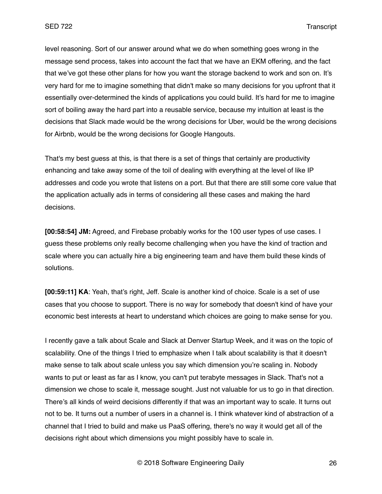level reasoning. Sort of our answer around what we do when something goes wrong in the message send process, takes into account the fact that we have an EKM offering, and the fact that we've got these other plans for how you want the storage backend to work and son on. It's very hard for me to imagine something that didn't make so many decisions for you upfront that it essentially over-determined the kinds of applications you could build. It's hard for me to imagine sort of boiling away the hard part into a reusable service, because my intuition at least is the decisions that Slack made would be the wrong decisions for Uber, would be the wrong decisions for Airbnb, would be the wrong decisions for Google Hangouts.

That's my best guess at this, is that there is a set of things that certainly are productivity enhancing and take away some of the toil of dealing with everything at the level of like IP addresses and code you wrote that listens on a port. But that there are still some core value that the application actually ads in terms of considering all these cases and making the hard decisions.

**[00:58:54] JM:** Agreed, and Firebase probably works for the 100 user types of use cases. I guess these problems only really become challenging when you have the kind of traction and scale where you can actually hire a big engineering team and have them build these kinds of solutions.

**[00:59:11] KA**: Yeah, that's right, Jeff. Scale is another kind of choice. Scale is a set of use cases that you choose to support. There is no way for somebody that doesn't kind of have your economic best interests at heart to understand which choices are going to make sense for you.

I recently gave a talk about Scale and Slack at Denver Startup Week, and it was on the topic of scalability. One of the things I tried to emphasize when I talk about scalability is that it doesn't make sense to talk about scale unless you say which dimension you're scaling in. Nobody wants to put or least as far as I know, you can't put terabyte messages in Slack. That's not a dimension we chose to scale it, message sought. Just not valuable for us to go in that direction. There's all kinds of weird decisions differently if that was an important way to scale. It turns out not to be. It turns out a number of users in a channel is. I think whatever kind of abstraction of a channel that I tried to build and make us PaaS offering, there's no way it would get all of the decisions right about which dimensions you might possibly have to scale in.